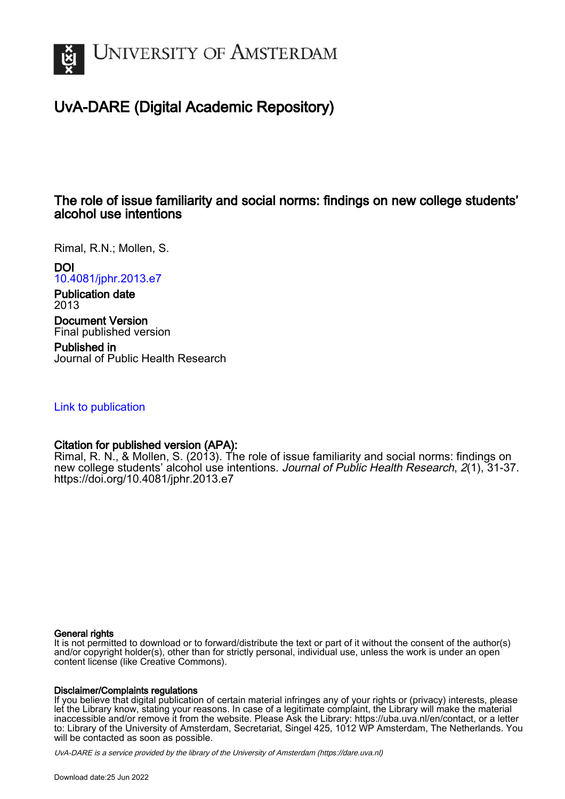

# UvA-DARE (Digital Academic Repository)

# The role of issue familiarity and social norms: findings on new college students' alcohol use intentions

Rimal, R.N.; Mollen, S.

DOI

[10.4081/jphr.2013.e7](https://doi.org/10.4081/jphr.2013.e7)

Publication date 2013

Document Version Final published version

Published in Journal of Public Health Research

## [Link to publication](https://dare.uva.nl/personal/pure/en/publications/the-role-of-issue-familiarity-and-social-norms-findings-on-new-college-students-alcohol-use-intentions(c388b066-1f49-43b6-afb1-aa7c0c5e1cf2).html)

# Citation for published version (APA):

Rimal, R. N., & Mollen, S. (2013). The role of issue familiarity and social norms: findings on new college students' alcohol use intentions. Journal of Public Health Research, 2(1), 31-37. <https://doi.org/10.4081/jphr.2013.e7>

## General rights

It is not permitted to download or to forward/distribute the text or part of it without the consent of the author(s) and/or copyright holder(s), other than for strictly personal, individual use, unless the work is under an open content license (like Creative Commons).

## Disclaimer/Complaints regulations

If you believe that digital publication of certain material infringes any of your rights or (privacy) interests, please let the Library know, stating your reasons. In case of a legitimate complaint, the Library will make the material inaccessible and/or remove it from the website. Please Ask the Library: https://uba.uva.nl/en/contact, or a letter to: Library of the University of Amsterdam, Secretariat, Singel 425, 1012 WP Amsterdam, The Netherlands. You will be contacted as soon as possible.

UvA-DARE is a service provided by the library of the University of Amsterdam (http*s*://dare.uva.nl)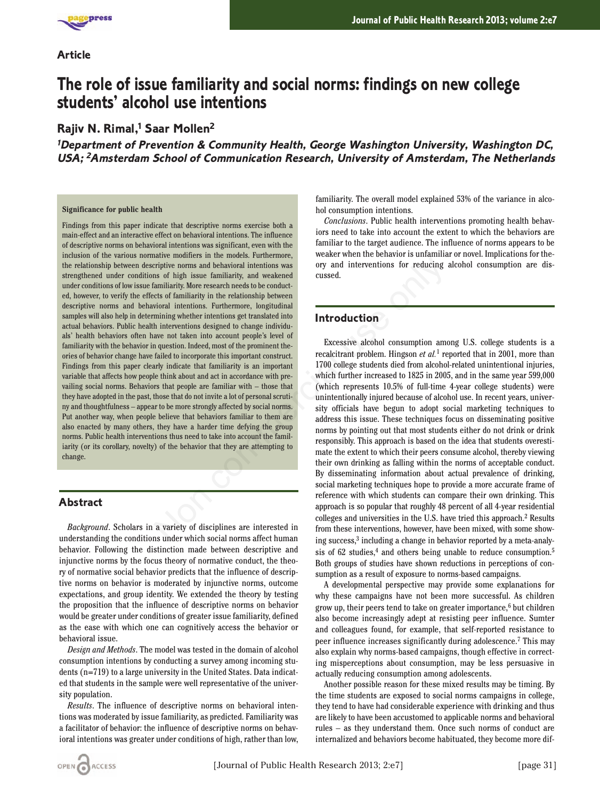

### **Article**

# **The role of issue familiarity and social norms: findings on new college students' alcohol use intentions**

## **Rajiv N. Rimal,<sup>1</sup> Saar Mollen<sup>2</sup>**

**<sup>1</sup>Department of Prevention & Community Health, George Washington University, Washington DC, USA; <sup>2</sup>Amsterdam School of Communication Research, University of Amsterdam, The Netherlands**

#### **Significance for public health**

Findings from this paper indicate that descriptive norms exercise both a main-effect and an interactive effect on behavioral intentions. The influence of descriptive norms on behavioral intentions was significant, even with the inclusion of the various normative modifiers in the models. Furthermore, the relationship between descriptive norms and behavioral intentions was strengthened under conditions of high issue familiarity, and weakened under conditions of low issue familiarity. More research needs to be conducted, however, to verify the effects of familiarity in the relationship between descriptive norms and behavioral intentions. Furthermore, longitudinal samples will also help in determining whether intentions get translated into actual behaviors. Public health interventions designed to change individuals' health behaviors often have not taken into account people's level of familiarity with the behavior in question. Indeed, most of the prominent theories of behavior change have failed to incorporate this important construct. Findings from this paper clearly indicate that familiarity is an important variable that affects how people think about and act in accordance with prevailing social norms. Behaviors that people are familiar with – those that they have adopted in the past, those that do not invite a lot of personal scrutiny and thoughtfulness – appear to be more strongly affected by social norms. Put another way, when people believe that behaviors familiar to them are also enacted by many others, they have a harder time defying the group norms. Public health interventions thus need to take into account the familiarity (or its corollary, novelty) of the behavior that they are attempting to change. Example the mothemotion of the mothemotic interventions of reducing<br>and interventions as orly and interventions for reducing<br>and interventions. Furthermore, longitudinal contact<br>calce distributions. Furthermore, longitudin

## **Abstract**

*Background*. Scholars in a variety of disciplines are interested in understanding the conditions under which social norms affect human behavior. Following the distinction made between descriptive and injunctive norms by the focus theory of normative conduct, the theory of normative social behavior predicts that the influence of descriptive norms on behavior is moderated by injunctive norms, outcome expectations, and group identity. We extended the theory by testing the proposition that the influence of descriptive norms on behavior would be greater under conditions of greater issue familiarity, defined as the ease with which one can cognitively access the behavior or behavioral issue.

*Design and Methods*. The model was tested in the domain of alcohol consumption intentions by conducting a survey among incoming students (n=719) to a large university in the United States. Data indicated that students in the sample were well representative of the university population.

*Results*. The influence of descriptive norms on behavioral intentions was moderated by issue familiarity, as predicted. Familiarity was a facilitator of behavior: the influence of descriptive norms on behavioral intentions was greater under conditions of high, rather than low, familiarity. The overall model explained 53% of the variance in alcohol consumption intentions.

*Conclusions*. Public health interventions promoting health behaviors need to take into account the extent to which the behaviors are familiar to the target audience. The influence of norms appears to be weaker when the behavior is unfamiliar or novel. Implications for theory and interventions for reducing alcohol consumption are discussed.

## **Introduction**

Excessive alcohol consumption among U.S. college students is a recalcitrant problem. Hingson *et al.*<sup>1</sup> reported that in 2001, more than 1700 college students died from alcohol-related unintentional injuries, which further increased to 1825 in 2005, and in the same year 599,000 (which represents 10.5% of full-time 4-year college students) were unintentionally injured because of alcohol use. In recent years, university officials have begun to adopt social marketing techniques to address this issue. These techniques focus on disseminating positive norms by pointing out that most students either do not drink or drink responsibly. This approach is based on the idea that students overestimate the extent to which their peers consume alcohol, thereby viewing their own drinking as falling within the norms of acceptable conduct. By disseminating information about actual prevalence of drinking, social marketing techniques hope to provide a more accurate frame of reference with which students can compare their own drinking. This approach is so popular that roughly 48 percent of all 4-year residential colleges and universities in the U.S. have tried this approach.2 Results from these interventions, however, have been mixed, with some showing success,3 including a change in behavior reported by a meta-analysis of 62 studies,<sup>4</sup> and others being unable to reduce consumption.<sup>5</sup> Both groups of studies have shown reductions in perceptions of consumption as a result of exposure to norms-based campaigns.

A developmental perspective may provide some explanations for why these campaigns have not been more successful. As children grow up, their peers tend to take on greater importance, $6$  but children also become increasingly adept at resisting peer influence. Sumter and colleagues found, for example, that self-reported resistance to peer influence increases significantly during adolescence.7 This may also explain why norms-based campaigns, though effective in correcting misperceptions about consumption, may be less persuasive in actually reducing consumption among adolescents.

Another possible reason for these mixed results may be timing. By the time students are exposed to social norms campaigns in college, they tend to have had considerable experience with drinking and thus are likely to have been accustomed to applicable norms and behavioral rules – as they understand them. Once such norms of conduct are internalized and behaviors become habituated, they become more dif-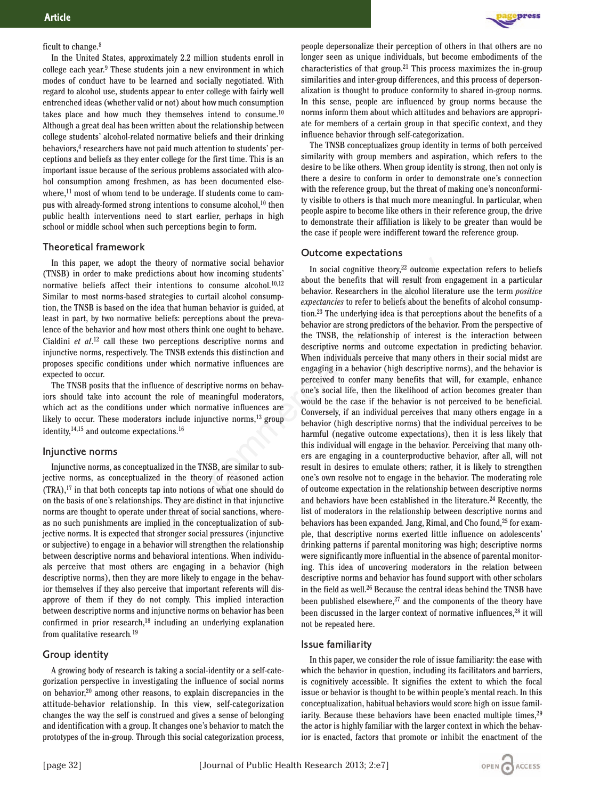#### ficult to change.8

In the United States, approximately 2.2 million students enroll in college each year.9 These students join a new environment in which modes of conduct have to be learned and socially negotiated. With regard to alcohol use, students appear to enter college with fairly well entrenched ideas (whether valid or not) about how much consumption takes place and how much they themselves intend to consume.<sup>10</sup> Although a great deal has been written about the relationship between college students' alcohol-related normative beliefs and their drinking behaviors,<sup>4</sup> researchers have not paid much attention to students' perceptions and beliefs as they enter college for the first time. This is an important issue because of the serious problems associated with alcohol consumption among freshmen, as has been documented elsewhere,<sup>11</sup> most of whom tend to be underage. If students come to campus with already-formed strong intentions to consume alcohol, $10$  then public health interventions need to start earlier, perhaps in high school or middle school when such perceptions begin to form.

#### Theoretical framework

In this paper, we adopt the theory of normative social behavior (TNSB) in order to make predictions about how incoming students' normative beliefs affect their intentions to consume alcohol.<sup>10,12</sup> Similar to most norms-based strategies to curtail alcohol consumption, the TNSB is based on the idea that human behavior is guided, at least in part, by two normative beliefs: perceptions about the prevalence of the behavior and how most others think one ought to behave. Cialdini *et al*. <sup>12</sup> call these two perceptions descriptive norms and injunctive norms, respectively. The TNSB extends this distinction and proposes specific conditions under which normative influences are expected to occur.

The TNSB posits that the influence of descriptive norms on behaviors should take into account the role of meaningful moderators, which act as the conditions under which normative influences are likely to occur. These moderators include injunctive norms,13 group identity,14,15 and outcome expectations.16

#### Injunctive norms

Injunctive norms, as conceptualized in the TNSB, are similar to subjective norms, as conceptualized in the theory of reasoned action (TRA),17 in that both concepts tap into notions of what one should do on the basis of one's relationships. They are distinct in that injunctive norms are thought to operate under threat of social sanctions, whereas no such punishments are implied in the conceptualization of subjective norms. It is expected that stronger social pressures (injunctive or subjective) to engage in a behavior will strengthen the relationship between descriptive norms and behavioral intentions. When individuals perceive that most others are engaging in a behavior (high descriptive norms), then they are more likely to engage in the behavior themselves if they also perceive that important referents will disapprove of them if they do not comply. This implied interaction between descriptive norms and injunctive norms on behavior has been confirmed in prior research, $18$  including an underlying explanation from qualitative research*.* 19

#### Group identity

A growing body of research is taking a social-identity or a self-categorization perspective in investigating the influence of social norms on behavior,20 among other reasons, to explain discrepancies in the attitude-behavior relationship. In this view, self-categorization changes the way the self is construed and gives a sense of belonging and identification with a group. It changes one's behavior to match the prototypes of the in-group. Through this social categorization process,



people depersonalize their perception of others in that others are no longer seen as unique individuals, but become embodiments of the characteristics of that group.21 This process maximizes the in-group similarities and inter-group differences, and this process of depersonalization is thought to produce conformity to shared in-group norms. In this sense, people are influenced by group norms because the norms inform them about which attitudes and behaviors are appropriate for members of a certain group in that specific context, and they influence behavior through self-categorization.

The TNSB conceptualizes group identity in terms of both perceived similarity with group members and aspiration, which refers to the desire to be like others. When group identity is strong, then not only is there a desire to conform in order to demonstrate one's connection with the reference group, but the threat of making one's nonconformity visible to others is that much more meaningful. In particular, when people aspire to become like others in their reference group, the drive to demonstrate their affiliation is likely to be greater than would be the case if people were indifferent toward the reference group.

#### Outcome expectations

In social cognitive theory, $22$  outcome expectation refers to beliefs about the benefits that will result from engagement in a particular behavior. Researchers in the alcohol literature use the term *positive expectancies* to refer to beliefs about the benefits of alcohol consumption.23 The underlying idea is that perceptions about the benefits of a behavior are strong predictors of the behavior. From the perspective of the TNSB, the relationship of interest is the interaction between descriptive norms and outcome expectation in predicting behavior. When individuals perceive that many others in their social midst are engaging in a behavior (high descriptive norms), and the behavior is perceived to confer many benefits that will, for example, enhance one's social life, then the likelihood of action becomes greater than would be the case if the behavior is not perceived to be beneficial. Conversely, if an individual perceives that many others engage in a behavior (high descriptive norms) that the individual perceives to be harmful (negative outcome expectations), then it is less likely that this individual will engage in the behavior. Perceiving that many others are engaging in a counterproductive behavior, after all, will not result in desires to emulate others; rather, it is likely to strengthen one's own resolve not to engage in the behavior. The moderating role of outcome expectation in the relationship between descriptive norms and behaviors have been established in the literature.<sup>24</sup> Recently, the list of moderators in the relationship between descriptive norms and behaviors has been expanded. Jang, Rimal, and Cho found,<sup>25</sup> for example, that descriptive norms exerted little influence on adolescents' drinking patterns if parental monitoring was high; descriptive norms were significantly more influential in the absence of parental monitoring. This idea of uncovering moderators in the relation between descriptive norms and behavior has found support with other scholars in the field as well.26 Because the central ideas behind the TNSB have been published elsewhere, $27$  and the components of the theory have been discussed in the larger context of normative influences,<sup>28</sup> it will not be repeated here. theory of normative social behavior<br>
intendions bue incoming students<sup>22</sup> untome either instantons to consume alcohol.<sup>10,12</sup> about the benefits that will result from either<br>
intentions to consume alcohol.<sup>10,12</sup> about th

#### Issue familiarity

In this paper, we consider the role of issue familiarity: the ease with which the behavior in question, including its facilitators and barriers, is cognitively accessible. It signifies the extent to which the focal issue or behavior is thought to be within people's mental reach. In this conceptualization, habitual behaviors would score high on issue familiarity. Because these behaviors have been enacted multiple times,<sup>29</sup> the actor is highly familiar with the larger context in which the behavior is enacted, factors that promote or inhibit the enactment of the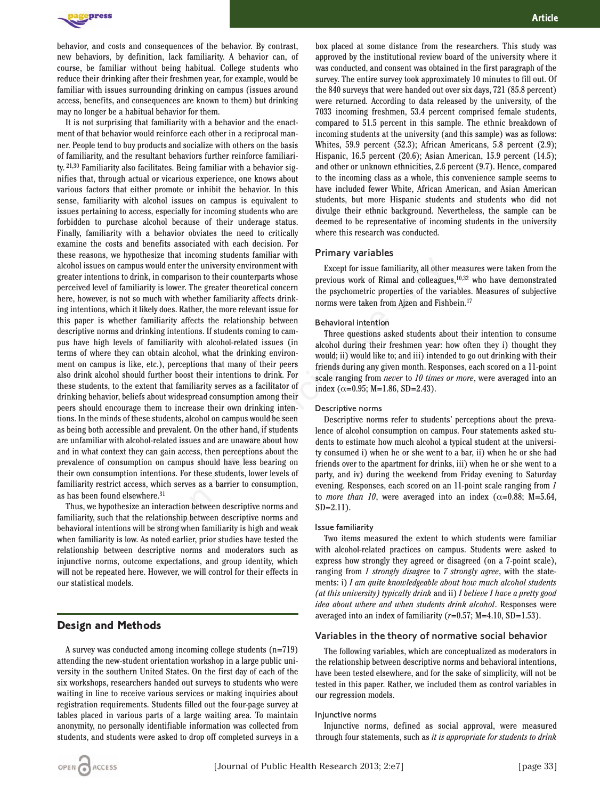

behavior, and costs and consequences of the behavior. By contrast, new behaviors, by definition, lack familiarity. A behavior can, of course, be familiar without being habitual. College students who reduce their drinking after their freshmen year, for example, would be familiar with issues surrounding drinking on campus (issues around access, benefits, and consequences are known to them) but drinking may no longer be a habitual behavior for them.

It is not surprising that familiarity with a behavior and the enactment of that behavior would reinforce each other in a reciprocal manner. People tend to buy products and socialize with others on the basis of familiarity, and the resultant behaviors further reinforce familiarity. 21,30 Familiarity also facilitates. Being familiar with a behavior signifies that, through actual or vicarious experience, one knows about various factors that either promote or inhibit the behavior. In this sense, familiarity with alcohol issues on campus is equivalent to issues pertaining to access, especially for incoming students who are forbidden to purchase alcohol because of their underage status. Finally, familiarity with a behavior obviates the need to critically examine the costs and benefits associated with each decision. For these reasons, we hypothesize that incoming students familiar with alcohol issues on campus would enter the university environment with greater intentions to drink, in comparison to their counterparts whose perceived level of familiarity is lower. The greater theoretical concern here, however, is not so much with whether familiarity affects drinking intentions, which it likely does. Rather, the more relevant issue for this paper is whether familiarity affects the relationship between descriptive norms and drinking intentions. If students coming to campus have high levels of familiarity with alcohol-related issues (in terms of where they can obtain alcohol, what the drinking environment on campus is like, etc.), perceptions that many of their peers also drink alcohol should further boost their intentions to drink. For these students, to the extent that familiarity serves as a facilitator of drinking behavior, beliefs about widespread consumption among their peers should encourage them to increase their own drinking intentions. In the minds of these students, alcohol on campus would be seen as being both accessible and prevalent. On the other hand, if students are unfamiliar with alcohol-related issues and are unaware about how and in what context they can gain access, then perceptions about the prevalence of consumption on campus should have less bearing on their own consumption intentions. For these students, lower levels of familiarity restrict access, which serves as a barrier to consumption, as has been found elsewhere.31 As that incoming baudent members are incoming that in the subsect of earniliarity, all other<br>
in comparison to their counterparts whose<br>
The great theoretical concern<br>
the psychometric properties of the value of the with

Thus, we hypothesize an interaction between descriptive norms and familiarity, such that the relationship between descriptive norms and behavioral intentions will be strong when familiarity is high and weak when familiarity is low. As noted earlier, prior studies have tested the relationship between descriptive norms and moderators such as injunctive norms, outcome expectations, and group identity, which will not be repeated here. However, we will control for their effects in our statistical models.

## **Design and Methods**

A survey was conducted among incoming college students (n=719) attending the new-student orientation workshop in a large public university in the southern United States. On the first day of each of the six workshops, researchers handed out surveys to students who were waiting in line to receive various services or making inquiries about registration requirements. Students filled out the four-page survey at tables placed in various parts of a large waiting area. To maintain anonymity, no personally identifiable information was collected from students, and students were asked to drop off completed surveys in a

box placed at some distance from the researchers. This study was approved by the institutional review board of the university where it was conducted, and consent was obtained in the first paragraph of the survey. The entire survey took approximately 10 minutes to fill out. Of the 840 surveys that were handed out over six days, 721 (85.8 percent) were returned. According to data released by the university, of the 7033 incoming freshmen, 53.4 percent comprised female students, compared to 51.5 percent in this sample. The ethnic breakdown of incoming students at the university (and this sample) was as follows: Whites, 59.9 percent (52.3); African Americans, 5.8 percent (2.9); Hispanic, 16.5 percent (20.6); Asian American, 15.9 percent (14.5); and other or unknown ethnicities, 2.6 percent (9.7). Hence, compared to the incoming class as a whole, this convenience sample seems to have included fewer White, African American, and Asian American students, but more Hispanic students and students who did not divulge their ethnic background. Nevertheless, the sample can be deemed to be representative of incoming students in the university where this research was conducted.

#### Primary variables

Except for issue familiarity, all other measures were taken from the previous work of Rimal and colleagues,10,32 who have demonstrated the psychometric properties of the variables. Measures of subjective norms were taken from Ajzen and Fishbein.17

#### Behavioral intention

Three questions asked students about their intention to consume alcohol during their freshmen year: how often they i) thought they would; ii) would like to; and iii) intended to go out drinking with their friends during any given month. Responses, each scored on a 11-point scale ranging from *never* to *10 times or more*, were averaged into an index ( $\alpha$ =0.95; M=1.86, SD=2.43).

#### Descriptive norms

Descriptive norms refer to students' perceptions about the prevalence of alcohol consumption on campus. Four statements asked students to estimate how much alcohol a typical student at the university consumed i) when he or she went to a bar, ii) when he or she had friends over to the apartment for drinks, iii) when he or she went to a party, and iv) during the weekend from Friday evening to Saturday evening. Responses, each scored on an 11-point scale ranging from *1* to *more than 10*, were averaged into an index ( $\alpha$ =0.88; M=5.64, SD=2.11).

#### Issue familiarity

Two items measured the extent to which students were familiar with alcohol-related practices on campus. Students were asked to express how strongly they agreed or disagreed (on a 7-point scale), ranging from *1 strongly disagree* to *7 strongly agree*, with the statements: i) *I am quite knowledgeable about how much alcohol students (at this university) typically drink* and ii) *I believe I have a pretty good idea about where and when students drink alcohol*. Responses were averaged into an index of familiarity (*r*=0.57; M=4.10, SD=1.53).

#### Variables in the theory of normative social behavior

The following variables, which are conceptualized as moderators in the relationship between descriptive norms and behavioral intentions, have been tested elsewhere, and for the sake of simplicity, will not be tested in this paper. Rather, we included them as control variables in our regression models.

#### Injunctive norms

Injunctive norms, defined as social approval, were measured through four statements, such as *it is appropriate for students to drink*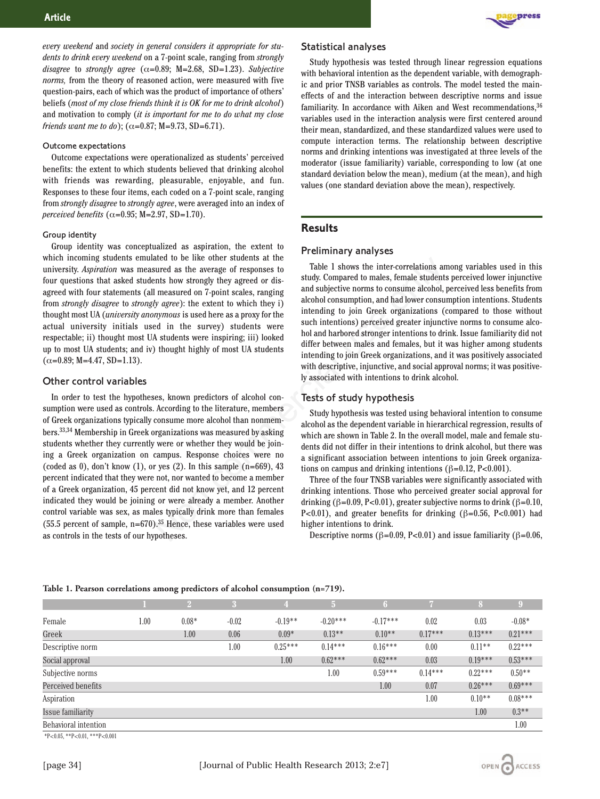*every weekend* and *society in general considers it appropriate for students to drink every weekend* on a 7-point scale, ranging from *strongly disagree* to *strongly agree*  $(\alpha=0.89; M=2.68, SD=1.23)$ . *Subjective norms,* from the theory of reasoned action, were measured with five question-pairs, each of which was the product of importance of others' beliefs (*most of my close friends think it is OK for me to drink alcohol*) and motivation to comply (*it is important for me to do what my close friends want me to do*); ( $\alpha$ =0.87; M=9.73, SD=6.71).

#### Outcome expectations

Outcome expectations were operationalized as students' perceived benefits: the extent to which students believed that drinking alcohol with friends was rewarding, pleasurable, enjoyable, and fun. Responses to these four items, each coded on a 7-point scale, ranging from *strongly disagree* to *strongly agree*, were averaged into an index of *perceived benefits*  $(\alpha=0.95; M=2.97, SD=1.70)$ .

#### Group identity

Group identity was conceptualized as aspiration, the extent to which incoming students emulated to be like other students at the university. *Aspiration* was measured as the average of responses to four questions that asked students how strongly they agreed or disagreed with four statements (all measured on 7-point scales, ranging from *strongly disagree* to *strongly agree*): the extent to which they i) thought most UA (*university anonymous* is used here as a proxy for the actual university initials used in the survey) students were respectable; ii) thought most UA students were inspiring; iii) looked up to most UA students; and iv) thought highly of most UA students  $(\alpha=0.89; M=4.47, SD=1.13).$ 

#### Other control variables

In order to test the hypotheses, known predictors of alcohol consumption were used as controls. According to the literature, members of Greek organizations typically consume more alcohol than nonmembers.33,34 Membership in Greek organizations was measured by asking students whether they currently were or whether they would be joining a Greek organization on campus. Response choices were no (coded as 0), don't know  $(1)$ , or yes  $(2)$ . In this sample  $(n=669)$ , 43 percent indicated that they were not, nor wanted to become a member of a Greek organization, 45 percent did not know yet, and 12 percent indicated they would be joining or were already a member. Another control variable was sex, as males typically drink more than females (55.5 percent of sample,  $n=670$ ).<sup>35</sup> Hence, these variables were used as controls in the tests of our hypotheses. ated to be like other students at the computer as the point of the point students and subjective normal students in measured on  $T_p$  are computed to make the average or dismusted on 7-point scales, ranging and subjective



#### Statistical analyses

Study hypothesis was tested through linear regression equations with behavioral intention as the dependent variable, with demographic and prior TNSB variables as controls. The model tested the maineffects of and the interaction between descriptive norms and issue familiarity. In accordance with Aiken and West recommendations, 36 variables used in the interaction analysis were first centered around their mean, standardized, and these standardized values were used to compute interaction terms. The relationship between descriptive norms and drinking intentions was investigated at three levels of the moderator (issue familiarity) variable, corresponding to low (at one standard deviation below the mean), medium (at the mean), and high values (one standard deviation above the mean), respectively.

## **Results**

#### Preliminary analyses

Table 1 shows the inter-correlations among variables used in this study. Compared to males, female students perceived lower injunctive and subjective norms to consume alcohol, perceived less benefits from alcohol consumption, and had lower consumption intentions. Students intending to join Greek organizations (compared to those without such intentions) perceived greater injunctive norms to consume alcohol and harbored stronger intentions to drink. Issue familiarity did not differ between males and females, but it was higher among students intending to join Greek organizations, and it was positively associated with descriptive, injunctive, and social approval norms; it was positively associated with intentions to drink alcohol.

#### Tests of study hypothesis

Study hypothesis was tested using behavioral intention to consume alcohol as the dependent variable in hierarchical regression, results of which are shown in Table 2. In the overall model, male and female students did not differ in their intentions to drink alcohol, but there was a significant association between intentions to join Greek organizations on campus and drinking intentions ( $\beta$ =0.12, P<0.001).

Three of the four TNSB variables were significantly associated with drinking intentions. Those who perceived greater social approval for drinking (β=0.09, P<0.01), greater subjective norms to drink (β=0.10, P<0.01), and greater benefits for drinking  $(\beta=0.56, P<0.001)$  had higher intentions to drink.

Descriptive norms ( $\beta$ =0.09, P<0.01) and issue familiarity ( $\beta$ =0.06,

|                      |      |         | $\cdot$ | $\overline{4}$ | $\overline{5}$ | 6          |           | 8         | $\overline{9}$ |
|----------------------|------|---------|---------|----------------|----------------|------------|-----------|-----------|----------------|
| Female               | 1.00 | $0.08*$ | $-0.02$ | $-0.19**$      | $-0.20***$     | $-0.17***$ | 0.02      | 0.03      | $-0.08*$       |
| Greek                |      | 1.00    | 0.06    | $0.09*$        | $0.13**$       | $0.10**$   | $0.17***$ | $0.13***$ | $0.21***$      |
| Descriptive norm     |      |         | 1.00    | $0.25***$      | $0.14***$      | $0.16***$  | 0.00      | $0.11**$  | $0.22***$      |
| Social approval      |      |         |         | 1.00           | $0.62***$      | $0.62***$  | 0.03      | $0.19***$ | $0.53***$      |
| Subjective norms     |      |         |         |                | 1.00           | $0.59***$  | $0.14***$ | $0.22***$ | $0.50**$       |
| Perceived benefits   |      |         |         |                |                | 1.00       | 0.07      | $0.26***$ | $0.69***$      |
| Aspiration           |      |         |         |                |                |            | 1.00      | $0.10**$  | $0.08***$      |
| Issue familiarity    |      |         |         |                |                |            |           | 1.00      | $0.3**$        |
| Behavioral intention |      |         |         |                |                |            |           |           | 1.00           |

#### **Table 1. Pearson correlations among predictors of alcohol consumption (n=719).**

 $*P<0.05$ ,  $*P<0.01$ ,  $***P<0.001$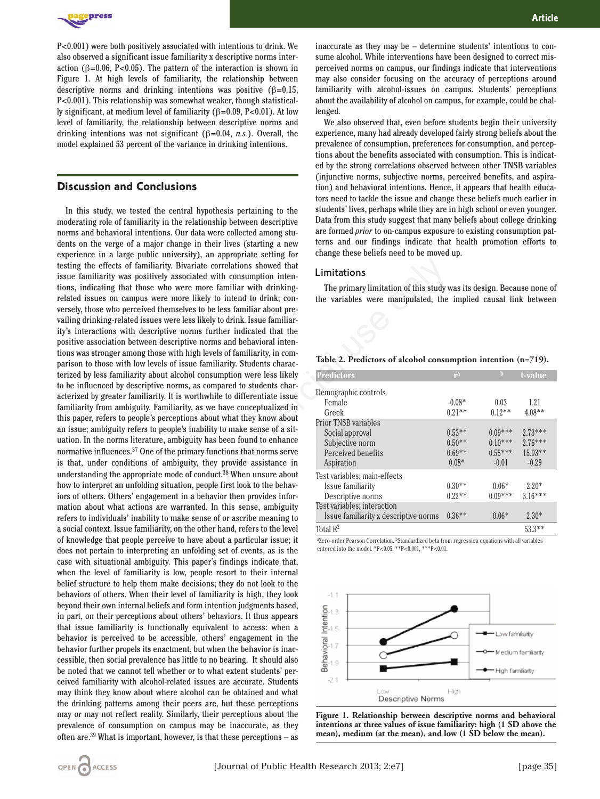

P<0.001) were both positively associated with intentions to drink. We also observed a significant issue familiarity x descriptive norms interaction ( $\beta$ =0.06, P<0.05). The pattern of the interaction is shown in Figure 1. At high levels of familiarity, the relationship between descriptive norms and drinking intentions was positive  $(\beta=0.15,$ P<0.001). This relationship was somewhat weaker, though statistically significant, at medium level of familiarity ( $\beta$ =0.09, P<0.01). At low level of familiarity, the relationship between descriptive norms and drinking intentions was not significant (β=0.04, *n.s.*). Overall, the model explained 53 percent of the variance in drinking intentions.

## **Discussion and Conclusions**

In this study, we tested the central hypothesis pertaining to the moderating role of familiarity in the relationship between descriptive norms and behavioral intentions. Our data were collected among students on the verge of a major change in their lives (starting a new experience in a large public university), an appropriate setting for testing the effects of familiarity. Bivariate correlations showed that issue familiarity was positively associated with consumption intentions, indicating that those who were more familiar with drinkingrelated issues on campus were more likely to intend to drink; conversely, those who perceived themselves to be less familiar about prevailing drinking-related issues were less likely to drink. Issue familiarity's interactions with descriptive norms further indicated that the positive association between descriptive norms and behavioral intentions was stronger among those with high levels of familiarity, in comparison to those with low levels of issue familiarity. Students characterized by less familiarity about alcohol consumption were less likely to be influenced by descriptive norms, as compared to students characterized by greater familiarity. It is worthwhile to differentiate issue familiarity from ambiguity. Familiarity, as we have conceptualized in this paper, refers to people's perceptions about what they know about an issue; ambiguity refers to people's inability to make sense of a situation. In the norms literature, ambiguity has been found to enhance normative influences.37 One of the primary functions that norms serve is that, under conditions of ambiguity, they provide assistance in understanding the appropriate mode of conduct.38 When unsure about how to interpret an unfolding situation, people first look to the behaviors of others. Others' engagement in a behavior then provides information about what actions are warranted. In this sense, ambiguity refers to individuals' inability to make sense of or ascribe meaning to a social context. Issue familiarity, on the other hand, refers to the level of knowledge that people perceive to have about a particular issue; it does not pertain to interpreting an unfolding set of events, as is the case with situational ambiguity. This paper's findings indicate that, when the level of familiarity is low, people resort to their internal belief structure to help them make decisions; they do not look to the behaviors of others. When their level of familiarity is high, they look beyond their own internal beliefs and form intention judgments based, in part, on their perceptions about others' behaviors. It thus appears that issue familiarity is functionally equivalent to access: when a behavior is perceived to be accessible, others' engagement in the behavior further propels its enactment, but when the behavior is inaccessible, then social prevalence has little to no bearing. It should also be noted that we cannot tell whether or to what extent students' perceived familiarity with alcohol-related issues are accurate. Students may think they know about where alcohol can be obtained and what the drinking patterns among their peers are, but these perceptions may or may not reflect reality. Similarly, their perceptions about the prevalence of consumption on campus may be inaccurate, as they often are. $39$  What is important, however, is that these perceptions – as Learn the community. Bivariate correlations showed that<br>
Learn's. Bivariate correlations showed that<br>
the primary limitation of this study<br>
weve more feamiliar with drinking-<br>
weve more likely to intend to drink, con-<br>
th

inaccurate as they may be – determine students' intentions to consume alcohol. While interventions have been designed to correct misperceived norms on campus, our findings indicate that interventions may also consider focusing on the accuracy of perceptions around familiarity with alcohol-issues on campus. Students' perceptions about the availability of alcohol on campus, for example, could be challenged.

We also observed that, even before students begin their university experience, many had already developed fairly strong beliefs about the prevalence of consumption, preferences for consumption, and perceptions about the benefits associated with consumption. This is indicated by the strong correlations observed between other TNSB variables (injunctive norms, subjective norms, perceived benefits, and aspiration) and behavioral intentions. Hence, it appears that health educators need to tackle the issue and change these beliefs much earlier in students' lives, perhaps while they are in high school or even younger. Data from this study suggest that many beliefs about college drinking are formed *prior* to on-campus exposure to existing consumption patterns and our findings indicate that health promotion efforts to change these beliefs need to be moved up.

#### Limitations

The primary limitation of this study was its design. Because none of the variables were manipulated, the implied causal link between

#### **Table 2. Predictors of alcohol consumption intention (n=719).**

| <b>Predictors</b>                     | r <sup>a</sup> | h         | t-value   |
|---------------------------------------|----------------|-----------|-----------|
| Demographic controls                  |                |           |           |
| Female                                | $-0.08*$       | 0.03      | 1.21      |
| Greek                                 | $0.21**$       | $0.12**$  | $4.08**$  |
| <b>Prior TNSB variables</b>           |                |           |           |
| Social approval                       | $0.53**$       | $0.09***$ | $2.73***$ |
| Subjective norm                       | $0.50**$       | $0.10***$ | $2.76***$ |
| Perceived benefits                    | $0.69**$       | $0.55***$ | $15.93**$ |
| Aspiration                            | $0.08*$        | $-0.01$   | $-0.29$   |
| Test variables: main-effects          |                |           |           |
| Issue familiarity                     | $0.30**$       | $0.06*$   | $2.20*$   |
| Descriptive norms                     | $0.22**$       | $0.09***$ | $3.16***$ |
| Test variables: interaction           |                |           |           |
| Issue familiarity x descriptive norms | $0.36**$       | $0.06*$   | $2.30*$   |
| Total $\mathbb{R}^2$                  |                |           | $53.3**$  |

aZero-order Pearson Correlation. **bStandardized beta from regression equations with all variables** entered into the model. \*P<0.05, \*\*P<0.001, \*\*\*P<0.01.



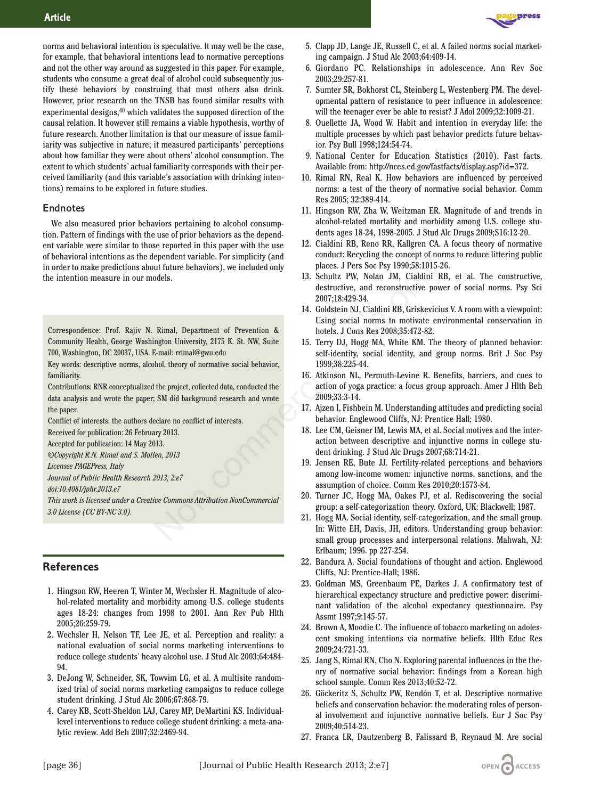

### Endnotes

We also measured prior behaviors pertaining to alcohol consumption. Pattern of findings with the use of prior behaviors as the dependent variable were similar to those reported in this paper with the use of behavioral intentions as the dependent variable. For simplicity (and in order to make predictions about future behaviors), we included only the intention measure in our models.

Correspondence: Prof. Rajiv N. Rimal, Department of Prevention & Community Health, George Washington University, 2175 K. St. NW, Suite 700, Washington, DC 20037, USA. E-mail: rrimal@gwu.edu

Key words: descriptive norms, alcohol, theory of normative social behavior, familiarity.

Contributions: RNR conceptualized the project, collected data, conducted the data analysis and wrote the paper; SM did background research and wrote the paper.

Conflict of interests: the authors declare no conflict of interests.

Received for publication: 26 February 2013.

Accepted for publication: 14 May 2013.

*©Copyright R.N. Rimal and S. Mollen, 2013*

*Licensee PAGEPress, Italy*

*Journal of Public Health Research 2013; 2:e7*

*doi:10.4081/jphr.2013.e7*

*This work is licensed under a Creative Commons Attribution NonCommercial 3.0 License (CC BY-NC 3.0).*

## **References**

- 1. Hingson RW, Heeren T, Winter M, Wechsler H. Magnitude of alcohol-related mortality and morbidity among U.S. college students ages 18-24: changes from 1998 to 2001. Ann Rev Pub Hlth 2005;26:259-79.
- 2. Wechsler H, Nelson TF, Lee JE, et al. Perception and reality: a national evaluation of social norms marketing interventions to reduce college students' heavy alcohol use. J Stud Alc 2003;64:484- 94.
- 3. DeJong W, Schneider, SK, Towvim LG, et al. A multisite randomized trial of social norms marketing campaigns to reduce college student drinking. J Stud Alc 2006;67:868-79.
- 4. Carey KB, Scott-Sheldon LAJ, Carey MP, DeMartini KS. Individuallevel interventions to reduce college student drinking: a meta-analytic review. Add Beh 2007;32:2469-94.



press

- 6. Giordano PC. Relationships in adolescence. Ann Rev Soc 2003;29:257-81.
- 7. Sumter SR, Bokhorst CL, Steinberg L, Westenberg PM. The developmental pattern of resistance to peer influence in adolescence: will the teenager ever be able to resist? J Adol 2009;32:1009-21.
- 8. Ouellette JA, Wood W. Habit and intention in everyday life: the multiple processes by which past behavior predicts future behavior. Psy Bull 1998;124:54-74.
- 9. National Center for Education Statistics (2010). Fast facts. Available from: http://nces.ed.gov/fastfacts/display.asp?id=372.
- 10. Rimal RN, Real K. How behaviors are influenced by perceived norms: a test of the theory of normative social behavior. Comm Res 2005; 32:389-414.
- 11. Hingson RW, Zha W, Weitzman ER. Magnitude of and trends in alcohol-related mortality and morbidity among U.S. college students ages 18-24, 1998-2005. J Stud Alc Drugs 2009;S16:12-20.
- 12. Cialdini RB, Reno RR, Kallgren CA. A focus theory of normative conduct: Recycling the concept of norms to reduce littering public places. J Pers Soc Psy 1990;58:1015-26.
- 13. Schultz PW, Nolan JM, Cialdini RB, et al. The constructive, destructive, and reconstructive power of social norms. Psy Sci 2007;18:429-34.
- 14. Goldstein NJ, Cialdini RB, Griskevicius V. A room with a viewpoint: Using social norms to motivate environmental conservation in hotels. J Cons Res 2008;35:472-82. examples the translate of Prevention and the proposed of the series of Prevention and Theorem and Theorem and The distriction and the distriction of Prevention and The distriction and The distriction and the mail: rrimal@g
	- 15. Terry DJ, Hogg MA, White KM. The theory of planned behavior: self-identity, social identity, and group norms. Brit J Soc Psy 1999;38:225-44.
	- 16. Atkinson NL, Permuth-Levine R. Benefits, barriers, and cues to action of yoga practice: a focus group approach. Amer J Hlth Beh 2009;33:3-14.
	- 17. Ajzen I, Fishbein M. Understanding attitudes and predicting social behavior. Englewood Cliffs, NJ: Prentice Hall; 1980.
	- 18. Lee CM, Geisner IM, Lewis MA, et al. Social motives and the interaction between descriptive and injunctive norms in college student drinking. J Stud Alc Drugs 2007;68:714-21.
	- 19. Jensen RE, Bute JJ. Fertility-related perceptions and behaviors among low-income women: injunctive norms, sanctions, and the assumption of choice. Comm Res 2010;20:1573-84.
	- 20. Turner JC, Hogg MA, Oakes PJ, et al. Rediscovering the social group: a self-categorization theory. Oxford, UK: Blackwell; 1987.
	- 21. Hogg MA. Social identity, self-categorization, and the small group. In: Witte EH, Davis, JH, editors. Understanding group behavior: small group processes and interpersonal relations. Mahwah, NJ: Erlbaum; 1996. pp 227-254.
	- 22. Bandura A. Social foundations of thought and action. Englewood Cliffs, NJ: Prentice-Hall; 1986.
	- 23. Goldman MS, Greenbaum PE, Darkes J. A confirmatory test of hierarchical expectancy structure and predictive power: discriminant validation of the alcohol expectancy questionnaire. Psy Assmt 1997;9:145-57.
	- 24. Brown A, Moodie C. The influence of tobacco marketing on adolescent smoking intentions via normative beliefs. Hlth Educ Res 2009;24:721-33.
	- 25. Jang S, Rimal RN, Cho N. Exploring parental influences in the theory of normative social behavior: findings from a Korean high school sample. Comm Res 2013;40:52-72.
	- 26. Göckeritz S, Schultz PW, Rendón T, et al. Descriptive normative beliefs and conservation behavior: the moderating roles of personal involvement and injunctive normative beliefs. Eur J Soc Psy 2009;40:514-23.
	- 27. Franca LR, Dautzenberg B, Falissard B, Reynaud M. Are social